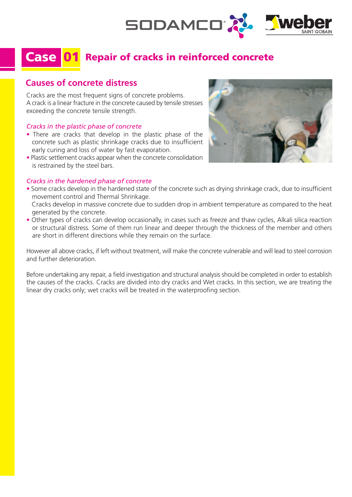

# Case 01 Repair of cracks in reinforced concrete

# **Causes of concrete distress**

Cracks are the most frequent signs of concrete problems. A crack is a linear fracture in the concrete caused by tensile stresses exceeding the concrete tensile strength.

#### *Cracks in the plastic phase of concrete*

- There are cracks that develop in the plastic phase of the concrete such as plastic shrinkage cracks due to insufficient early curing and loss of water by fast evaporation.
- Plastic settlement cracks appear when the concrete consolidation is restrained by the steel bars.

#### *Cracks in the hardened phase of concrete*



- Some cracks develop in the hardened state of the concrete such as drying shrinkage crack, due to insufficient movement control and Thermal Shrinkage.
- Cracks develop in massive concrete due to sudden drop in ambient temperature as compared to the heat generated by the concrete.
- Other types of cracks can develop occasionally, in cases such as freeze and thaw cycles, Alkali silica reaction or structural distress. Some of them run linear and deeper through the thickness of the member and others are short in different directions while they remain on the surface.

However all above cracks, if left without treatment, will make the concrete vulnerable and will lead to steel corrosion and further deterioration.

Before undertaking any repair, a field investigation and structural analysis should be completed in order to establish the causes of the cracks. Cracks are divided into dry cracks and Wet cracks. In this section, we are treating the linear dry cracks only; wet cracks will be treated in the waterproofing section.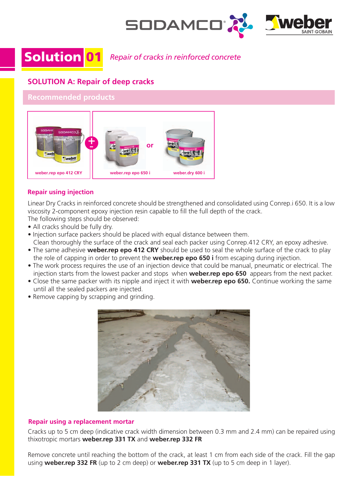

Solution 01 *Repair of cracks in reinforced concrete*

# **SOLUTION A: Repair of deep cracks**

### **Recommended products**



### **Repair using injection**

Linear Dry Cracks in reinforced concrete should be strengthened and consolidated using Conrep.i 650. It is a low viscosity 2-component epoxy injection resin capable to fill the full depth of the crack.

The following steps should be observed:

- All cracks should be fully dry.
- Injection surface packers should be placed with equal distance between them.
- Clean thoroughly the surface of the crack and seal each packer using Conrep.412 CRY, an epoxy adhesive. • The same adhesive **weber.rep epo 412 CRY** should be used to seal the whole surface of the crack to play the role of capping in order to prevent the **weber.rep epo 650 i** from escaping during injection.
- The work process requires the use of an injection device that could be manual, pneumatic or electrical. The injection starts from the lowest packer and stops when **weber.rep epo 650** appears from the next packer.
- Close the same packer with its nipple and inject it with **weber.rep epo 650.** Continue working the same until all the sealed packers are injected.
- Remove capping by scrapping and grinding.



### **Repair using a replacement mortar**

Cracks up to 5 cm deep (indicative crack width dimension between 0.3 mm and 2.4 mm) can be repaired using thixotropic mortars **weber.rep 331 TX** and **weber.rep 332 FR**

Remove concrete until reaching the bottom of the crack, at least 1 cm from each side of the crack. Fill the gap using **weber.rep 332 FR** (up to 2 cm deep) or **weber.rep 331 TX** (up to 5 cm deep in 1 layer).